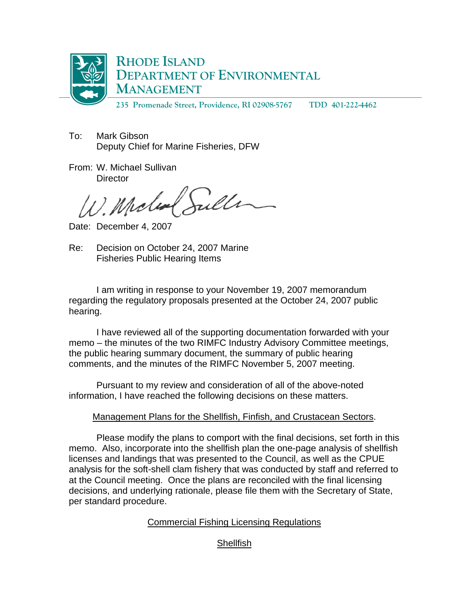

To: Mark Gibson Deputy Chief for Marine Fisheries, DFW

From: W. Michael Sullivan **Director** 

W. Miche

Date: December 4, 2007

Re: Decision on October 24, 2007 Marine Fisheries Public Hearing Items

 I am writing in response to your November 19, 2007 memorandum regarding the regulatory proposals presented at the October 24, 2007 public hearing.

 I have reviewed all of the supporting documentation forwarded with your memo – the minutes of the two RIMFC Industry Advisory Committee meetings, the public hearing summary document, the summary of public hearing comments, and the minutes of the RIMFC November 5, 2007 meeting.

 Pursuant to my review and consideration of all of the above-noted information, I have reached the following decisions on these matters.

# Management Plans for the Shellfish, Finfish, and Crustacean Sectors.

Please modify the plans to comport with the final decisions, set forth in this memo. Also, incorporate into the shellfish plan the one-page analysis of shellfish licenses and landings that was presented to the Council, as well as the CPUE analysis for the soft-shell clam fishery that was conducted by staff and referred to at the Council meeting. Once the plans are reconciled with the final licensing decisions, and underlying rationale, please file them with the Secretary of State, per standard procedure.

## Commercial Fishing Licensing Regulations

# **Shellfish**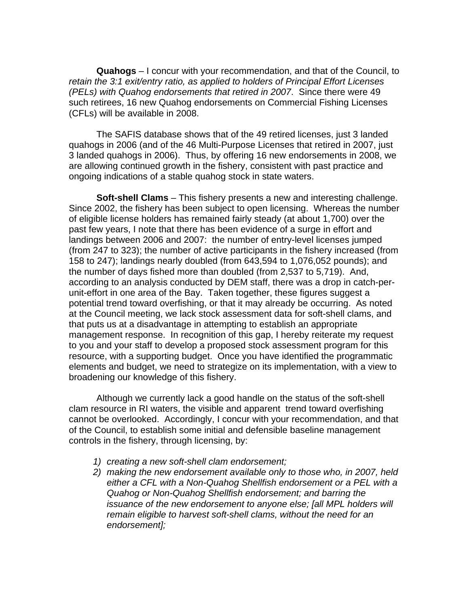**Quahogs** – I concur with your recommendation, and that of the Council, to *retain the 3:1 exit/entry ratio, as applied to holders of Principal Effort Licenses (PELs) with Quahog endorsements that retired in 2007*. Since there were 49 such retirees, 16 new Quahog endorsements on Commercial Fishing Licenses (CFLs) will be available in 2008.

 The SAFIS database shows that of the 49 retired licenses, just 3 landed quahogs in 2006 (and of the 46 Multi-Purpose Licenses that retired in 2007, just 3 landed quahogs in 2006). Thus, by offering 16 new endorsements in 2008, we are allowing continued growth in the fishery, consistent with past practice and ongoing indications of a stable quahog stock in state waters.

**Soft-shell Clams** – This fishery presents a new and interesting challenge. Since 2002, the fishery has been subject to open licensing. Whereas the number of eligible license holders has remained fairly steady (at about 1,700) over the past few years, I note that there has been evidence of a surge in effort and landings between 2006 and 2007: the number of entry-level licenses jumped (from 247 to 323); the number of active participants in the fishery increased (from 158 to 247); landings nearly doubled (from 643,594 to 1,076,052 pounds); and the number of days fished more than doubled (from 2,537 to 5,719). And, according to an analysis conducted by DEM staff, there was a drop in catch-perunit-effort in one area of the Bay. Taken together, these figures suggest a potential trend toward overfishing, or that it may already be occurring. As noted at the Council meeting, we lack stock assessment data for soft-shell clams, and that puts us at a disadvantage in attempting to establish an appropriate management response. In recognition of this gap, I hereby reiterate my request to you and your staff to develop a proposed stock assessment program for this resource, with a supporting budget. Once you have identified the programmatic elements and budget, we need to strategize on its implementation, with a view to broadening our knowledge of this fishery.

 Although we currently lack a good handle on the status of the soft-shell clam resource in RI waters, the visible and apparent trend toward overfishing cannot be overlooked. Accordingly, I concur with your recommendation, and that of the Council, to establish some initial and defensible baseline management controls in the fishery, through licensing, by:

- *1) creating a new soft-shell clam endorsement;*
- *2) making the new endorsement available only to those who, in 2007, held either a CFL with a Non-Quahog Shellfish endorsement or a PEL with a Quahog or Non-Quahog Shellfish endorsement; and barring the issuance of the new endorsement to anyone else; [all MPL holders will remain eligible to harvest soft-shell clams, without the need for an endorsement];*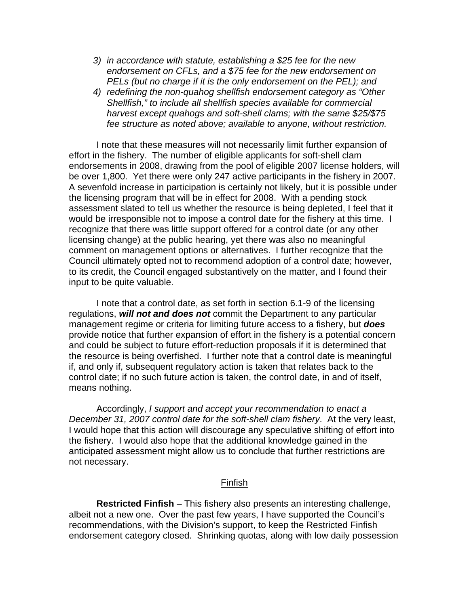- *3) in accordance with statute, establishing a \$25 fee for the new endorsement on CFLs, and a \$75 fee for the new endorsement on PELs (but no charge if it is the only endorsement on the PEL); and*
- *4) redefining the non-quahog shellfish endorsement category as "Other Shellfish," to include all shellfish species available for commercial harvest except quahogs and soft-shell clams; with the same \$25/\$75 fee structure as noted above; available to anyone, without restriction.*

I note that these measures will not necessarily limit further expansion of effort in the fishery. The number of eligible applicants for soft-shell clam endorsements in 2008, drawing from the pool of eligible 2007 license holders, will be over 1,800. Yet there were only 247 active participants in the fishery in 2007. A sevenfold increase in participation is certainly not likely, but it is possible under the licensing program that will be in effect for 2008. With a pending stock assessment slated to tell us whether the resource is being depleted, I feel that it would be irresponsible not to impose a control date for the fishery at this time. I recognize that there was little support offered for a control date (or any other licensing change) at the public hearing, yet there was also no meaningful comment on management options or alternatives. I further recognize that the Council ultimately opted not to recommend adoption of a control date; however, to its credit, the Council engaged substantively on the matter, and I found their input to be quite valuable.

I note that a control date, as set forth in section 6.1-9 of the licensing regulations, *will not and does not* commit the Department to any particular management regime or criteria for limiting future access to a fishery, but *does* provide notice that further expansion of effort in the fishery is a potential concern and could be subject to future effort-reduction proposals if it is determined that the resource is being overfished. I further note that a control date is meaningful if, and only if, subsequent regulatory action is taken that relates back to the control date; if no such future action is taken, the control date, in and of itself, means nothing.

Accordingly, *I support and accept your recommendation to enact a December 31, 2007 control date for the soft-shell clam fishery*. At the very least, I would hope that this action will discourage any speculative shifting of effort into the fishery. I would also hope that the additional knowledge gained in the anticipated assessment might allow us to conclude that further restrictions are not necessary.

### Finfish

**Restricted Finfish** – This fishery also presents an interesting challenge, albeit not a new one. Over the past few years, I have supported the Council's recommendations, with the Division's support, to keep the Restricted Finfish endorsement category closed. Shrinking quotas, along with low daily possession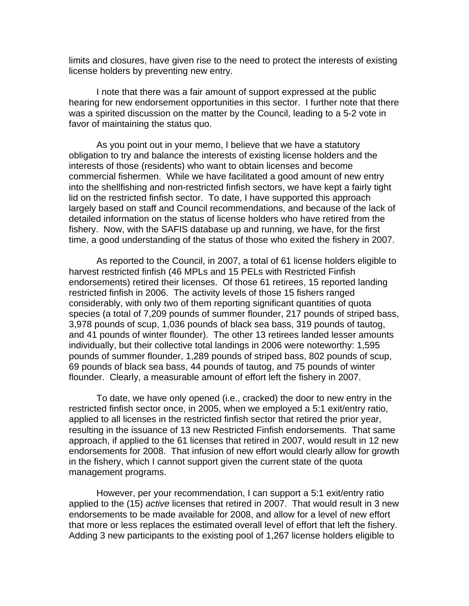limits and closures, have given rise to the need to protect the interests of existing license holders by preventing new entry.

I note that there was a fair amount of support expressed at the public hearing for new endorsement opportunities in this sector. I further note that there was a spirited discussion on the matter by the Council, leading to a 5-2 vote in favor of maintaining the status quo.

 As you point out in your memo, I believe that we have a statutory obligation to try and balance the interests of existing license holders and the interests of those (residents) who want to obtain licenses and become commercial fishermen. While we have facilitated a good amount of new entry into the shellfishing and non-restricted finfish sectors, we have kept a fairly tight lid on the restricted finfish sector. To date, I have supported this approach largely based on staff and Council recommendations, and because of the lack of detailed information on the status of license holders who have retired from the fishery. Now, with the SAFIS database up and running, we have, for the first time, a good understanding of the status of those who exited the fishery in 2007.

As reported to the Council, in 2007, a total of 61 license holders eligible to harvest restricted finfish (46 MPLs and 15 PELs with Restricted Finfish endorsements) retired their licenses. Of those 61 retirees, 15 reported landing restricted finfish in 2006. The activity levels of those 15 fishers ranged considerably, with only two of them reporting significant quantities of quota species (a total of 7,209 pounds of summer flounder, 217 pounds of striped bass, 3,978 pounds of scup, 1,036 pounds of black sea bass, 319 pounds of tautog, and 41 pounds of winter flounder). The other 13 retirees landed lesser amounts individually, but their collective total landings in 2006 were noteworthy: 1,595 pounds of summer flounder, 1,289 pounds of striped bass, 802 pounds of scup, 69 pounds of black sea bass, 44 pounds of tautog, and 75 pounds of winter flounder. Clearly, a measurable amount of effort left the fishery in 2007.

 To date, we have only opened (i.e., cracked) the door to new entry in the restricted finfish sector once, in 2005, when we employed a 5:1 exit/entry ratio, applied to all licenses in the restricted finfish sector that retired the prior year, resulting in the issuance of 13 new Restricted Finfish endorsements. That same approach, if applied to the 61 licenses that retired in 2007, would result in 12 new endorsements for 2008. That infusion of new effort would clearly allow for growth in the fishery, which I cannot support given the current state of the quota management programs.

 However, per your recommendation, I can support a 5:1 exit/entry ratio applied to the (15) *active* licenses that retired in 2007. That would result in 3 new endorsements to be made available for 2008, and allow for a level of new effort that more or less replaces the estimated overall level of effort that left the fishery. Adding 3 new participants to the existing pool of 1,267 license holders eligible to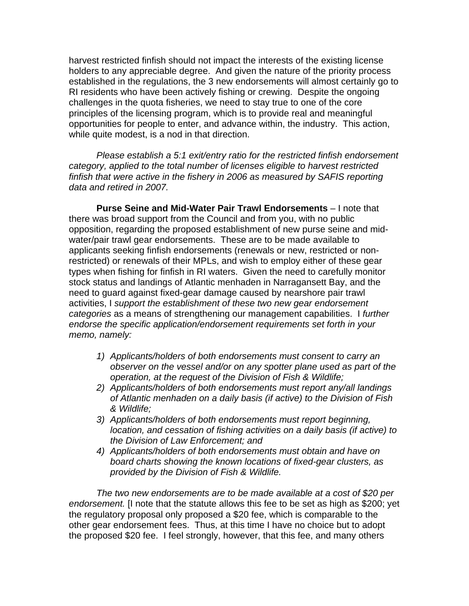harvest restricted finfish should not impact the interests of the existing license holders to any appreciable degree. And given the nature of the priority process established in the regulations, the 3 new endorsements will almost certainly go to RI residents who have been actively fishing or crewing. Despite the ongoing challenges in the quota fisheries, we need to stay true to one of the core principles of the licensing program, which is to provide real and meaningful opportunities for people to enter, and advance within, the industry. This action, while quite modest, is a nod in that direction.

*Please establish a 5:1 exit/entry ratio for the restricted finfish endorsement category, applied to the total number of licenses eligible to harvest restricted finfish that were active in the fishery in 2006 as measured by SAFIS reporting data and retired in 2007.*

**Purse Seine and Mid-Water Pair Trawl Endorsements** – I note that there was broad support from the Council and from you, with no public opposition, regarding the proposed establishment of new purse seine and midwater/pair trawl gear endorsements. These are to be made available to applicants seeking finfish endorsements (renewals or new, restricted or nonrestricted) or renewals of their MPLs, and wish to employ either of these gear types when fishing for finfish in RI waters. Given the need to carefully monitor stock status and landings of Atlantic menhaden in Narragansett Bay, and the need to guard against fixed-gear damage caused by nearshore pair trawl activities, I *support the establishment of these two new gear endorsement categories* as a means of strengthening our management capabilities. I *further endorse the specific application/endorsement requirements set forth in your memo, namely:* 

- *1) Applicants/holders of both endorsements must consent to carry an observer on the vessel and/or on any spotter plane used as part of the operation, at the request of the Division of Fish & Wildlife;*
- *2) Applicants/holders of both endorsements must report any/all landings of Atlantic menhaden on a daily basis (if active) to the Division of Fish & Wildlife;*
- *3) Applicants/holders of both endorsements must report beginning, location, and cessation of fishing activities on a daily basis (if active) to the Division of Law Enforcement; and*
- *4) Applicants/holders of both endorsements must obtain and have on board charts showing the known locations of fixed-gear clusters, as provided by the Division of Fish & Wildlife.*

*The two new endorsements are to be made available at a cost of \$20 per endorsement.* [I note that the statute allows this fee to be set as high as \$200; yet the regulatory proposal only proposed a \$20 fee, which is comparable to the other gear endorsement fees. Thus, at this time I have no choice but to adopt the proposed \$20 fee. I feel strongly, however, that this fee, and many others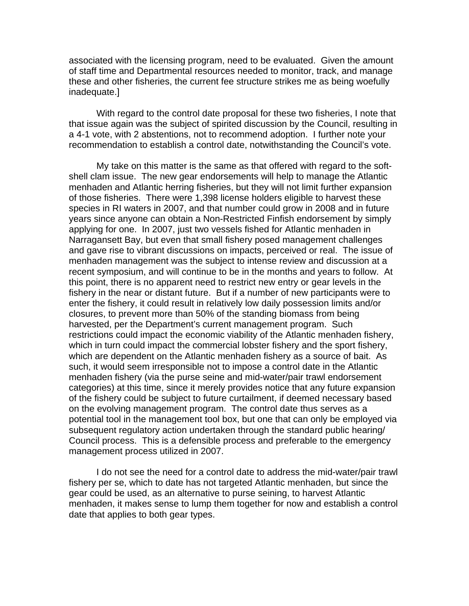associated with the licensing program, need to be evaluated. Given the amount of staff time and Departmental resources needed to monitor, track, and manage these and other fisheries, the current fee structure strikes me as being woefully inadequate.]

With regard to the control date proposal for these two fisheries, I note that that issue again was the subject of spirited discussion by the Council, resulting in a 4-1 vote, with 2 abstentions, not to recommend adoption. I further note your recommendation to establish a control date, notwithstanding the Council's vote.

My take on this matter is the same as that offered with regard to the softshell clam issue. The new gear endorsements will help to manage the Atlantic menhaden and Atlantic herring fisheries, but they will not limit further expansion of those fisheries. There were 1,398 license holders eligible to harvest these species in RI waters in 2007, and that number could grow in 2008 and in future years since anyone can obtain a Non-Restricted Finfish endorsement by simply applying for one. In 2007, just two vessels fished for Atlantic menhaden in Narragansett Bay, but even that small fishery posed management challenges and gave rise to vibrant discussions on impacts, perceived or real. The issue of menhaden management was the subject to intense review and discussion at a recent symposium, and will continue to be in the months and years to follow. At this point, there is no apparent need to restrict new entry or gear levels in the fishery in the near or distant future. But if a number of new participants were to enter the fishery, it could result in relatively low daily possession limits and/or closures, to prevent more than 50% of the standing biomass from being harvested, per the Department's current management program. Such restrictions could impact the economic viability of the Atlantic menhaden fishery, which in turn could impact the commercial lobster fishery and the sport fishery, which are dependent on the Atlantic menhaden fishery as a source of bait. As such, it would seem irresponsible not to impose a control date in the Atlantic menhaden fishery (via the purse seine and mid-water/pair trawl endorsement categories) at this time, since it merely provides notice that any future expansion of the fishery could be subject to future curtailment, if deemed necessary based on the evolving management program. The control date thus serves as a potential tool in the management tool box, but one that can only be employed via subsequent regulatory action undertaken through the standard public hearing/ Council process. This is a defensible process and preferable to the emergency management process utilized in 2007.

I do not see the need for a control date to address the mid-water/pair trawl fishery per se, which to date has not targeted Atlantic menhaden, but since the gear could be used, as an alternative to purse seining, to harvest Atlantic menhaden, it makes sense to lump them together for now and establish a control date that applies to both gear types.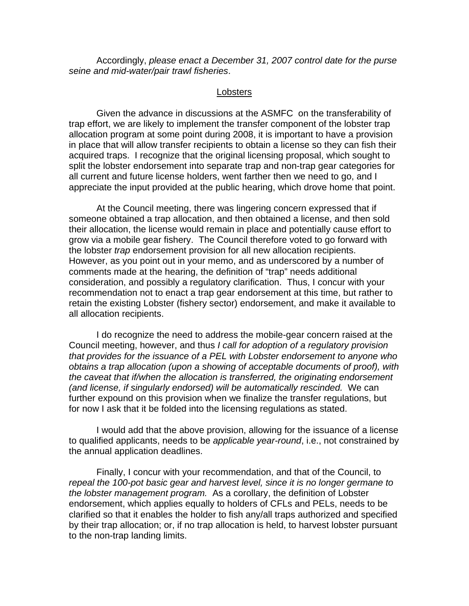Accordingly, *please enact a December 31, 2007 control date for the purse seine and mid-water/pair trawl fisheries*.

#### **Lobsters**

 Given the advance in discussions at the ASMFC on the transferability of trap effort, we are likely to implement the transfer component of the lobster trap allocation program at some point during 2008, it is important to have a provision in place that will allow transfer recipients to obtain a license so they can fish their acquired traps. I recognize that the original licensing proposal, which sought to split the lobster endorsement into separate trap and non-trap gear categories for all current and future license holders, went farther then we need to go, and I appreciate the input provided at the public hearing, which drove home that point.

 At the Council meeting, there was lingering concern expressed that if someone obtained a trap allocation, and then obtained a license, and then sold their allocation, the license would remain in place and potentially cause effort to grow via a mobile gear fishery. The Council therefore voted to go forward with the lobster *trap* endorsement provision for all new allocation recipients. However, as you point out in your memo, and as underscored by a number of comments made at the hearing, the definition of "trap" needs additional consideration, and possibly a regulatory clarification. Thus, I concur with your recommendation not to enact a trap gear endorsement at this time, but rather to retain the existing Lobster (fishery sector) endorsement, and make it available to all allocation recipients.

I do recognize the need to address the mobile-gear concern raised at the Council meeting, however, and thus *I call for adoption of a regulatory provision that provides for the issuance of a PEL with Lobster endorsement to anyone who obtains a trap allocation (upon a showing of acceptable documents of proof), with the caveat that if/when the allocation is transferred, the originating endorsement (and license, if singularly endorsed) will be automatically rescinded.* We can further expound on this provision when we finalize the transfer regulations, but for now I ask that it be folded into the licensing regulations as stated.

I would add that the above provision, allowing for the issuance of a license to qualified applicants, needs to be *applicable year-round*, i.e., not constrained by the annual application deadlines.

Finally, I concur with your recommendation, and that of the Council, to *repeal the 100-pot basic gear and harvest level, since it is no longer germane to the lobster management program.* As a corollary, the definition of Lobster endorsement, which applies equally to holders of CFLs and PELs, needs to be clarified so that it enables the holder to fish any/all traps authorized and specified by their trap allocation; or, if no trap allocation is held, to harvest lobster pursuant to the non-trap landing limits.